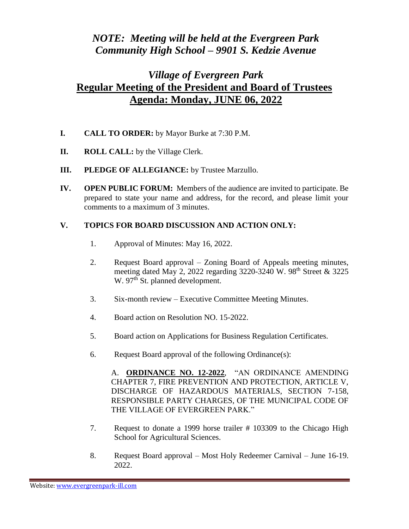## *NOTE: Meeting will be held at the Evergreen Park Community High School – 9901 S. Kedzie Avenue*

## *Village of Evergreen Park* **Regular Meeting of the President and Board of Trustees Agenda: Monday, JUNE 06, 2022**

- **I. CALL TO ORDER:** by Mayor Burke at 7:30 P.M.
- **II. ROLL CALL:** by the Village Clerk.
- **III. PLEDGE OF ALLEGIANCE:** by Trustee Marzullo.
- **IV. OPEN PUBLIC FORUM:** Members of the audience are invited to participate. Be prepared to state your name and address, for the record, and please limit your comments to a maximum of 3 minutes.

## **V. TOPICS FOR BOARD DISCUSSION AND ACTION ONLY:**

- 1. Approval of Minutes: May 16, 2022.
- 2. Request Board approval Zoning Board of Appeals meeting minutes, meeting dated May 2, 2022 regarding 3220-3240 W. 98<sup>th</sup> Street & 3225 W. 97<sup>th</sup> St. planned development.
- 3. Six-month review Executive Committee Meeting Minutes.
- 4. Board action on Resolution NO. 15-2022.
- 5. Board action on Applications for Business Regulation Certificates.
- 6. Request Board approval of the following Ordinance(s):

A. **ORDINANCE NO. 12-2022**, "AN ORDINANCE AMENDING CHAPTER 7, FIRE PREVENTION AND PROTECTION, ARTICLE V, DISCHARGE OF HAZARDOUS MATERIALS, SECTION 7-158, RESPONSIBLE PARTY CHARGES, OF THE MUNICIPAL CODE OF THE VILLAGE OF EVERGREEN PARK."

- 7. Request to donate a 1999 horse trailer # 103309 to the Chicago High School for Agricultural Sciences.
- 8. Request Board approval Most Holy Redeemer Carnival June 16-19. 2022.